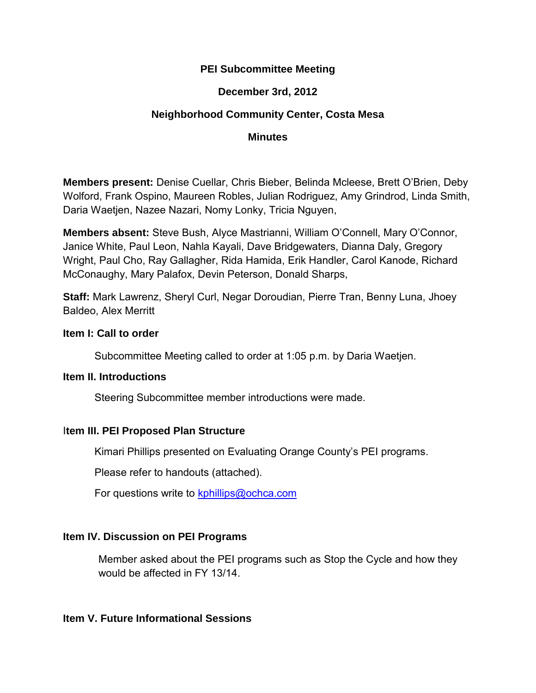## **PEI Subcommittee Meeting**

# **December 3rd, 2012**

# **Neighborhood Community Center, Costa Mesa**

#### **Minutes**

**Members present:** Denise Cuellar, Chris Bieber, Belinda Mcleese, Brett O'Brien, Deby Wolford, Frank Ospino, Maureen Robles, Julian Rodriguez, Amy Grindrod, Linda Smith, Daria Waetjen, Nazee Nazari, Nomy Lonky, Tricia Nguyen,

**Members absent:** Steve Bush, Alyce Mastrianni, William O'Connell, Mary O'Connor, Janice White, Paul Leon, Nahla Kayali, Dave Bridgewaters, Dianna Daly, Gregory Wright, Paul Cho, Ray Gallagher, Rida Hamida, Erik Handler, Carol Kanode, Richard McConaughy, Mary Palafox, Devin Peterson, Donald Sharps,

**Staff:** Mark Lawrenz, Sheryl Curl, Negar Doroudian, Pierre Tran, Benny Luna, Jhoey Baldeo, Alex Merritt

#### **Item I: Call to order**

Subcommittee Meeting called to order at 1:05 p.m. by Daria Waetjen.

## **Item II. Introductions**

Steering Subcommittee member introductions were made.

## I**tem III. PEI Proposed Plan Structure**

Kimari Phillips presented on Evaluating Orange County's PEI programs.

Please refer to handouts (attached).

For questions write to kphillips@ochca.com

## **Item IV. Discussion on PEI Programs**

Member asked about the PEI programs such as Stop the Cycle and how they would be affected in FY 13/14.

## **Item V. Future Informational Sessions**